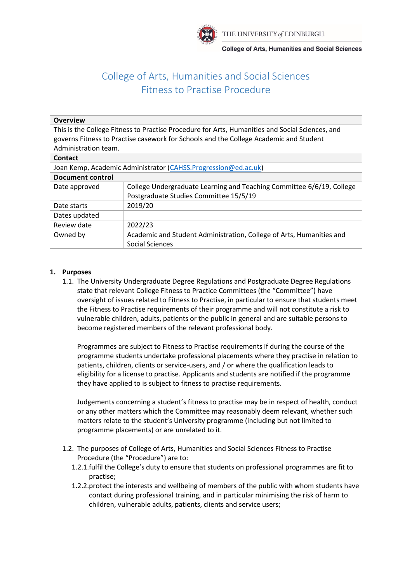

**College of Arts, Humanities and Social Sciences** 

# College of Arts, Humanities and Social Sciences Fitness to Practise Procedure

| <b>Overview</b>                                                                                 |                                                                       |
|-------------------------------------------------------------------------------------------------|-----------------------------------------------------------------------|
| This is the College Fitness to Practise Procedure for Arts, Humanities and Social Sciences, and |                                                                       |
| governs Fitness to Practise casework for Schools and the College Academic and Student           |                                                                       |
| Administration team.                                                                            |                                                                       |
| <b>Contact</b>                                                                                  |                                                                       |
| Joan Kemp, Academic Administrator (CAHSS. Progression@ed.ac.uk)                                 |                                                                       |
| <b>Document control</b>                                                                         |                                                                       |
| Date approved                                                                                   | College Undergraduate Learning and Teaching Committee 6/6/19, College |
|                                                                                                 | Postgraduate Studies Committee 15/5/19                                |
| Date starts                                                                                     | 2019/20                                                               |
| Dates updated                                                                                   |                                                                       |
| Review date                                                                                     | 2022/23                                                               |
| Owned by                                                                                        | Academic and Student Administration, College of Arts, Humanities and  |
|                                                                                                 | Social Sciences                                                       |

## **1. Purposes**

1.1. The University Undergraduate Degree Regulations and Postgraduate Degree Regulations state that relevant College Fitness to Practice Committees (the "Committee") have oversight of issues related to Fitness to Practise, in particular to ensure that students meet the Fitness to Practise requirements of their programme and will not constitute a risk to vulnerable children, adults, patients or the public in general and are suitable persons to become registered members of the relevant professional body.

Programmes are subject to Fitness to Practise requirements if during the course of the programme students undertake professional placements where they practise in relation to patients, children, clients or service-users, and / or where the qualification leads to eligibility for a license to practise. Applicants and students are notified if the programme they have applied to is subject to fitness to practise requirements.

Judgements concerning a student's fitness to practise may be in respect of health, conduct or any other matters which the Committee may reasonably deem relevant, whether such matters relate to the student's University programme (including but not limited to programme placements) or are unrelated to it.

- 1.2. The purposes of College of Arts, Humanities and Social Sciences Fitness to Practise Procedure (the "Procedure") are to:
	- 1.2.1.fulfil the College's duty to ensure that students on professional programmes are fit to practise;
	- 1.2.2.protect the interests and wellbeing of members of the public with whom students have contact during professional training, and in particular minimising the risk of harm to children, vulnerable adults, patients, clients and service users;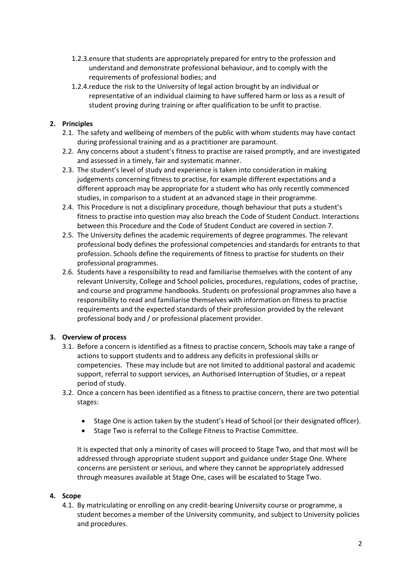- 1.2.3.ensure that students are appropriately prepared for entry to the profession and understand and demonstrate professional behaviour, and to comply with the requirements of professional bodies; and
- 1.2.4.reduce the risk to the University of legal action brought by an individual or representative of an individual claiming to have suffered harm or loss as a result of student proving during training or after qualification to be unfit to practise.

# **2. Principles**

- 2.1. The safety and wellbeing of members of the public with whom students may have contact during professional training and as a practitioner are paramount.
- 2.2. Any concerns about a student's fitness to practise are raised promptly, and are investigated and assessed in a timely, fair and systematic manner.
- 2.3. The student's level of study and experience is taken into consideration in making judgements concerning fitness to practise, for example different expectations and a different approach may be appropriate for a student who has only recently commenced studies, in comparison to a student at an advanced stage in their programme.
- 2.4. This Procedure is not a disciplinary procedure, though behaviour that puts a student's fitness to practise into question may also breach the Code of Student Conduct. Interactions between this Procedure and the Code of Student Conduct are covered in section 7.
- 2.5. The University defines the academic requirements of degree programmes. The relevant professional body defines the professional competencies and standards for entrants to that profession. Schools define the requirements of fitness to practise for students on their professional programmes.
- 2.6. Students have a responsibility to read and familiarise themselves with the content of any relevant University, College and School policies, procedures, regulations, codes of practise, and course and programme handbooks. Students on professional programmes also have a responsibility to read and familiarise themselves with information on fitness to practise requirements and the expected standards of their profession provided by the relevant professional body and / or professional placement provider.

## **3. Overview of process**

- 3.1. Before a concern is identified as a fitness to practise concern, Schools may take a range of actions to support students and to address any deficits in professional skills or competencies. These may include but are not limited to additional pastoral and academic support, referral to support services, an Authorised Interruption of Studies, or a repeat period of study.
- 3.2. Once a concern has been identified as a fitness to practise concern, there are two potential stages:
	- Stage One is action taken by the student's Head of School (or their designated officer).
	- Stage Two is referral to the College Fitness to Practise Committee.

It is expected that only a minority of cases will proceed to Stage Two, and that most will be addressed through appropriate student support and guidance under Stage One. Where concerns are persistent or serious, and where they cannot be appropriately addressed through measures available at Stage One, cases will be escalated to Stage Two.

## **4. Scope**

4.1. By matriculating or enrolling on any credit-bearing University course or programme, a student becomes a member of the University community, and subject to University policies and procedures.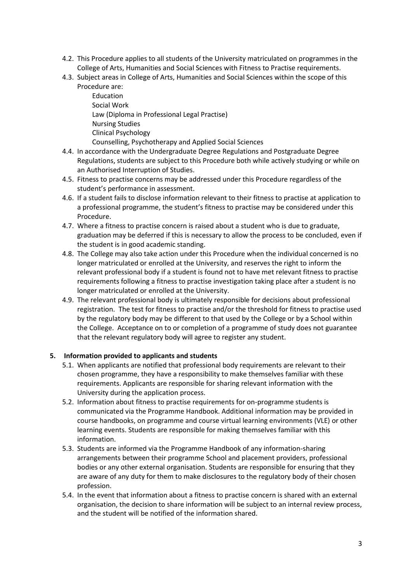- 4.2. This Procedure applies to all students of the University matriculated on programmes in the College of Arts, Humanities and Social Sciences with Fitness to Practise requirements.
- 4.3. Subject areas in College of Arts, Humanities and Social Sciences within the scope of this Procedure are:

Education Social Work Law (Diploma in Professional Legal Practise) Nursing Studies Clinical Psychology Counselling, Psychotherapy and Applied Social Sciences

- 4.4. In accordance with the Undergraduate Degree Regulations and Postgraduate Degree Regulations, students are subject to this Procedure both while actively studying or while on an Authorised Interruption of Studies.
- 4.5. Fitness to practise concerns may be addressed under this Procedure regardless of the student's performance in assessment.
- 4.6. If a student fails to disclose information relevant to their fitness to practise at application to a professional programme, the student's fitness to practise may be considered under this Procedure.
- 4.7. Where a fitness to practise concern is raised about a student who is due to graduate, graduation may be deferred if this is necessary to allow the process to be concluded, even if the student is in good academic standing.
- 4.8. The College may also take action under this Procedure when the individual concerned is no longer matriculated or enrolled at the University, and reserves the right to inform the relevant professional body if a student is found not to have met relevant fitness to practise requirements following a fitness to practise investigation taking place after a student is no longer matriculated or enrolled at the University.
- 4.9. The relevant professional body is ultimately responsible for decisions about professional registration. The test for fitness to practise and/or the threshold for fitness to practise used by the regulatory body may be different to that used by the College or by a School within the College. Acceptance on to or completion of a programme of study does not guarantee that the relevant regulatory body will agree to register any student.

## **5. Information provided to applicants and students**

- 5.1. When applicants are notified that professional body requirements are relevant to their chosen programme, they have a responsibility to make themselves familiar with these requirements. Applicants are responsible for sharing relevant information with the University during the application process.
- 5.2. Information about fitness to practise requirements for on-programme students is communicated via the Programme Handbook. Additional information may be provided in course handbooks, on programme and course virtual learning environments (VLE) or other learning events. Students are responsible for making themselves familiar with this information.
- 5.3. Students are informed via the Programme Handbook of any information-sharing arrangements between their programme School and placement providers, professional bodies or any other external organisation. Students are responsible for ensuring that they are aware of any duty for them to make disclosures to the regulatory body of their chosen profession.
- 5.4. In the event that information about a fitness to practise concern is shared with an external organisation, the decision to share information will be subject to an internal review process, and the student will be notified of the information shared.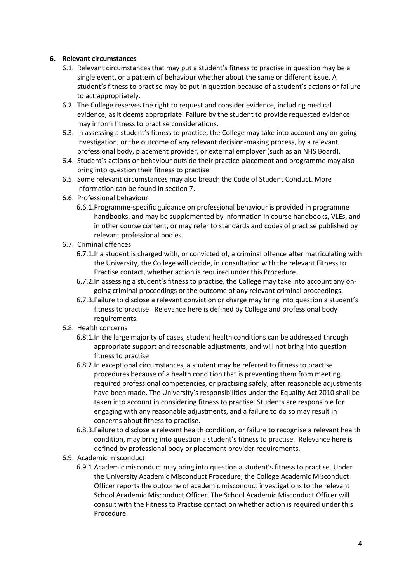## **6. Relevant circumstances**

- 6.1. Relevant circumstances that may put a student's fitness to practise in question may be a single event, or a pattern of behaviour whether about the same or different issue. A student's fitness to practise may be put in question because of a student's actions or failure to act appropriately.
- 6.2. The College reserves the right to request and consider evidence, including medical evidence, as it deems appropriate. Failure by the student to provide requested evidence may inform fitness to practise considerations.
- 6.3. In assessing a student's fitness to practice, the College may take into account any on-going investigation, or the outcome of any relevant decision-making process, by a relevant professional body, placement provider, or external employer (such as an NHS Board).
- 6.4. Student's actions or behaviour outside their practice placement and programme may also bring into question their fitness to practise.
- 6.5. Some relevant circumstances may also breach the Code of Student Conduct. More information can be found in section 7.
- 6.6. Professional behaviour
	- 6.6.1.Programme-specific guidance on professional behaviour is provided in programme handbooks, and may be supplemented by information in course handbooks, VLEs, and in other course content, or may refer to standards and codes of practise published by relevant professional bodies.
- 6.7. Criminal offences
	- 6.7.1.If a student is charged with, or convicted of, a criminal offence after matriculating with the University, the College will decide, in consultation with the relevant Fitness to Practise contact, whether action is required under this Procedure.
	- 6.7.2.In assessing a student's fitness to practise, the College may take into account any ongoing criminal proceedings or the outcome of any relevant criminal proceedings.
	- 6.7.3.Failure to disclose a relevant conviction or charge may bring into question a student's fitness to practise. Relevance here is defined by College and professional body requirements.
- 6.8. Health concerns
	- 6.8.1.In the large majority of cases, student health conditions can be addressed through appropriate support and reasonable adjustments, and will not bring into question fitness to practise.
	- 6.8.2.In exceptional circumstances, a student may be referred to fitness to practise procedures because of a health condition that is preventing them from meeting required professional competencies, or practising safely, after reasonable adjustments have been made. The University's responsibilities under the Equality Act 2010 shall be taken into account in considering fitness to practise. Students are responsible for engaging with any reasonable adjustments, and a failure to do so may result in concerns about fitness to practise.
	- 6.8.3.Failure to disclose a relevant health condition, or failure to recognise a relevant health condition, may bring into question a student's fitness to practise. Relevance here is defined by professional body or placement provider requirements.
- 6.9. Academic misconduct
	- 6.9.1.Academic misconduct may bring into question a student's fitness to practise. Under the University Academic Misconduct Procedure, the College Academic Misconduct Officer reports the outcome of academic misconduct investigations to the relevant School Academic Misconduct Officer. The School Academic Misconduct Officer will consult with the Fitness to Practise contact on whether action is required under this Procedure.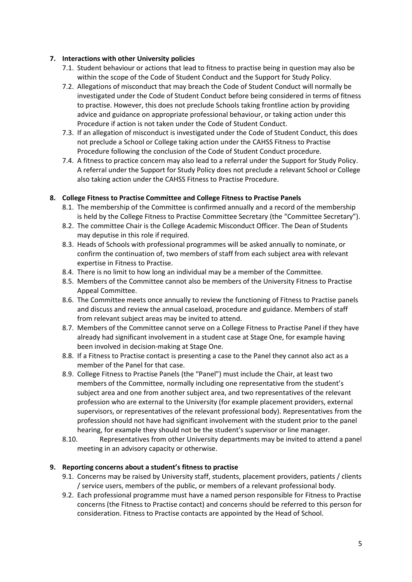## **7. Interactions with other University policies**

- 7.1. Student behaviour or actions that lead to fitness to practise being in question may also be within the scope of the Code of Student Conduct and the Support for Study Policy.
- 7.2. Allegations of misconduct that may breach the Code of Student Conduct will normally be investigated under the Code of Student Conduct before being considered in terms of fitness to practise. However, this does not preclude Schools taking frontline action by providing advice and guidance on appropriate professional behaviour, or taking action under this Procedure if action is not taken under the Code of Student Conduct.
- 7.3. If an allegation of misconduct is investigated under the Code of Student Conduct, this does not preclude a School or College taking action under the CAHSS Fitness to Practise Procedure following the conclusion of the Code of Student Conduct procedure.
- 7.4. A fitness to practice concern may also lead to a referral under the Support for Study Policy. A referral under the Support for Study Policy does not preclude a relevant School or College also taking action under the CAHSS Fitness to Practise Procedure.

#### **8. College Fitness to Practise Committee and College Fitness to Practise Panels**

- 8.1. The membership of the Committee is confirmed annually and a record of the membership is held by the College Fitness to Practise Committee Secretary (the "Committee Secretary").
- 8.2. The committee Chair is the College Academic Misconduct Officer. The Dean of Students may deputise in this role if required.
- 8.3. Heads of Schools with professional programmes will be asked annually to nominate, or confirm the continuation of, two members of staff from each subject area with relevant expertise in Fitness to Practise.
- 8.4. There is no limit to how long an individual may be a member of the Committee.
- 8.5. Members of the Committee cannot also be members of the University Fitness to Practise Appeal Committee.
- 8.6. The Committee meets once annually to review the functioning of Fitness to Practise panels and discuss and review the annual caseload, procedure and guidance. Members of staff from relevant subject areas may be invited to attend.
- 8.7. Members of the Committee cannot serve on a College Fitness to Practise Panel if they have already had significant involvement in a student case at Stage One, for example having been involved in decision-making at Stage One.
- 8.8. If a Fitness to Practise contact is presenting a case to the Panel they cannot also act as a member of the Panel for that case.
- 8.9. College Fitness to Practise Panels (the "Panel") must include the Chair, at least two members of the Committee, normally including one representative from the student's subject area and one from another subject area, and two representatives of the relevant profession who are external to the University (for example placement providers, external supervisors, or representatives of the relevant professional body). Representatives from the profession should not have had significant involvement with the student prior to the panel hearing, for example they should not be the student's supervisor or line manager.
- 8.10. Representatives from other University departments may be invited to attend a panel meeting in an advisory capacity or otherwise.

#### **9. Reporting concerns about a student's fitness to practise**

- 9.1. Concerns may be raised by University staff, students, placement providers, patients / clients / service users, members of the public, or members of a relevant professional body.
- 9.2. Each professional programme must have a named person responsible for Fitness to Practise concerns (the Fitness to Practise contact) and concerns should be referred to this person for consideration. Fitness to Practise contacts are appointed by the Head of School.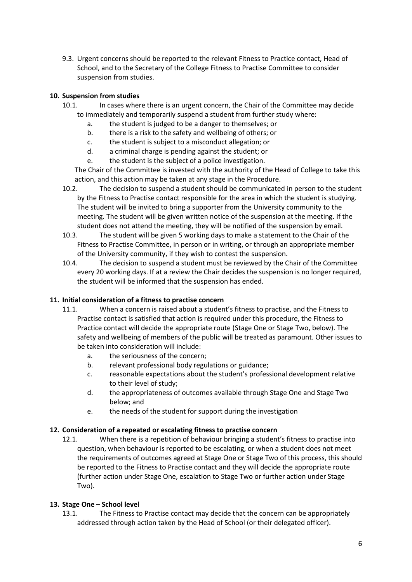9.3. Urgent concerns should be reported to the relevant Fitness to Practice contact, Head of School, and to the Secretary of the College Fitness to Practise Committee to consider suspension from studies.

# **10. Suspension from studies**

- 10.1. In cases where there is an urgent concern, the Chair of the Committee may decide to immediately and temporarily suspend a student from further study where:
	- a. the student is judged to be a danger to themselves; or
	- b. there is a risk to the safety and wellbeing of others; or
	- c. the student is subject to a misconduct allegation; or
	- d. a criminal charge is pending against the student; or
	- e. the student is the subject of a police investigation.

The Chair of the Committee is invested with the authority of the Head of College to take this action, and this action may be taken at any stage in the Procedure.

10.2. The decision to suspend a student should be communicated in person to the student by the Fitness to Practise contact responsible for the area in which the student is studying. The student will be invited to bring a supporter from the University community to the meeting. The student will be given written notice of the suspension at the meeting. If the student does not attend the meeting, they will be notified of the suspension by email.

- 10.3. The student will be given 5 working days to make a statement to the Chair of the Fitness to Practise Committee, in person or in writing, or through an appropriate member of the University community, if they wish to contest the suspension.
- 10.4. The decision to suspend a student must be reviewed by the Chair of the Committee every 20 working days. If at a review the Chair decides the suspension is no longer required, the student will be informed that the suspension has ended.

## **11. Initial consideration of a fitness to practise concern**

- 11.1. When a concern is raised about a student's fitness to practise, and the Fitness to Practise contact is satisfied that action is required under this procedure, the Fitness to Practice contact will decide the appropriate route (Stage One or Stage Two, below). The safety and wellbeing of members of the public will be treated as paramount. Other issues to be taken into consideration will include:
	- a. the seriousness of the concern;
	- b. relevant professional body regulations or guidance;
	- c. reasonable expectations about the student's professional development relative to their level of study;
	- d. the appropriateness of outcomes available through Stage One and Stage Two below; and
	- e. the needs of the student for support during the investigation

## **12. Consideration of a repeated or escalating fitness to practise concern**

12.1. When there is a repetition of behaviour bringing a student's fitness to practise into question, when behaviour is reported to be escalating, or when a student does not meet the requirements of outcomes agreed at Stage One or Stage Two of this process, this should be reported to the Fitness to Practise contact and they will decide the appropriate route (further action under Stage One, escalation to Stage Two or further action under Stage Two).

## **13. Stage One – School level**

13.1. The Fitness to Practise contact may decide that the concern can be appropriately addressed through action taken by the Head of School (or their delegated officer).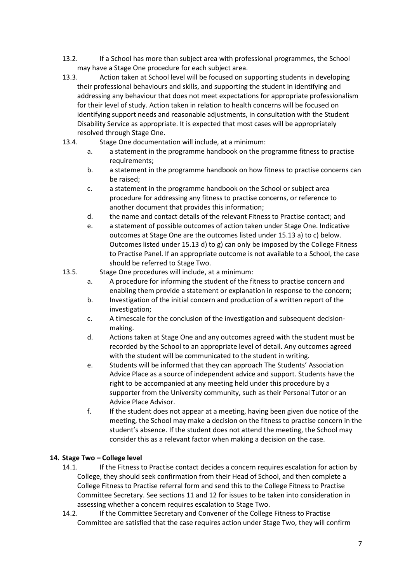- 13.2. If a School has more than subject area with professional programmes, the School may have a Stage One procedure for each subject area.
- 13.3. Action taken at School level will be focused on supporting students in developing their professional behaviours and skills, and supporting the student in identifying and addressing any behaviour that does not meet expectations for appropriate professionalism for their level of study. Action taken in relation to health concerns will be focused on identifying support needs and reasonable adjustments, in consultation with the Student Disability Service as appropriate. It is expected that most cases will be appropriately resolved through Stage One.
- 13.4. Stage One documentation will include, at a minimum:
	- a. a statement in the programme handbook on the programme fitness to practise requirements;
	- b. a statement in the programme handbook on how fitness to practise concerns can be raised;
	- c. a statement in the programme handbook on the School or subject area procedure for addressing any fitness to practise concerns, or reference to another document that provides this information;
	- d. the name and contact details of the relevant Fitness to Practise contact; and
	- e. a statement of possible outcomes of action taken under Stage One. Indicative outcomes at Stage One are the outcomes listed under 15.13 a) to c) below. Outcomes listed under 15.13 d) to g) can only be imposed by the College Fitness to Practise Panel. If an appropriate outcome is not available to a School, the case should be referred to Stage Two.
- 13.5. Stage One procedures will include, at a minimum:
	- a. A procedure for informing the student of the fitness to practise concern and enabling them provide a statement or explanation in response to the concern;
	- b. Investigation of the initial concern and production of a written report of the investigation;
	- c. A timescale for the conclusion of the investigation and subsequent decisionmaking.
	- d. Actions taken at Stage One and any outcomes agreed with the student must be recorded by the School to an appropriate level of detail. Any outcomes agreed with the student will be communicated to the student in writing.
	- e. Students will be informed that they can approach The Students' Association Advice Place as a source of independent advice and support. Students have the right to be accompanied at any meeting held under this procedure by a supporter from the University community, such as their Personal Tutor or an Advice Place Advisor.
	- f. If the student does not appear at a meeting, having been given due notice of the meeting, the School may make a decision on the fitness to practise concern in the student's absence. If the student does not attend the meeting, the School may consider this as a relevant factor when making a decision on the case.

#### **14. Stage Two – College level**

- 14.1. If the Fitness to Practise contact decides a concern requires escalation for action by College, they should seek confirmation from their Head of School, and then complete a College Fitness to Practise referral form and send this to the College Fitness to Practise Committee Secretary. See sections 11 and 12 for issues to be taken into consideration in assessing whether a concern requires escalation to Stage Two.
- 14.2. If the Committee Secretary and Convener of the College Fitness to Practise Committee are satisfied that the case requires action under Stage Two, they will confirm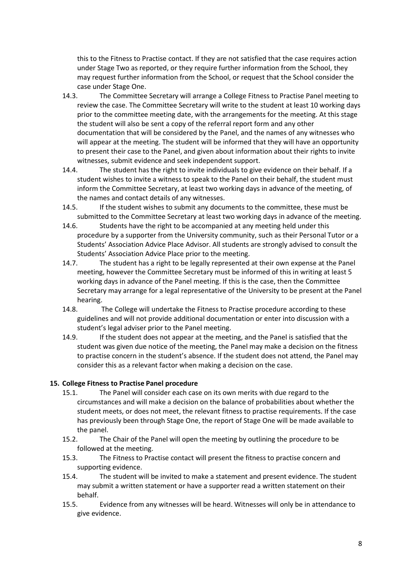this to the Fitness to Practise contact. If they are not satisfied that the case requires action under Stage Two as reported, or they require further information from the School, they may request further information from the School, or request that the School consider the case under Stage One.

- 14.3. The Committee Secretary will arrange a College Fitness to Practise Panel meeting to review the case. The Committee Secretary will write to the student at least 10 working days prior to the committee meeting date, with the arrangements for the meeting. At this stage the student will also be sent a copy of the referral report form and any other documentation that will be considered by the Panel, and the names of any witnesses who will appear at the meeting. The student will be informed that they will have an opportunity to present their case to the Panel, and given about information about their rights to invite witnesses, submit evidence and seek independent support.
- 14.4. The student has the right to invite individuals to give evidence on their behalf. If a student wishes to invite a witness to speak to the Panel on their behalf, the student must inform the Committee Secretary, at least two working days in advance of the meeting, of the names and contact details of any witnesses.
- 14.5. If the student wishes to submit any documents to the committee, these must be submitted to the Committee Secretary at least two working days in advance of the meeting.
- 14.6. Students have the right to be accompanied at any meeting held under this procedure by a supporter from the University community, such as their Personal Tutor or a Students' Association Advice Place Advisor. All students are strongly advised to consult the Students' Association Advice Place prior to the meeting.
- 14.7. The student has a right to be legally represented at their own expense at the Panel meeting, however the Committee Secretary must be informed of this in writing at least 5 working days in advance of the Panel meeting. If this is the case, then the Committee Secretary may arrange for a legal representative of the University to be present at the Panel hearing.
- 14.8. The College will undertake the Fitness to Practise procedure according to these guidelines and will not provide additional documentation or enter into discussion with a student's legal adviser prior to the Panel meeting.
- 14.9. If the student does not appear at the meeting, and the Panel is satisfied that the student was given due notice of the meeting, the Panel may make a decision on the fitness to practise concern in the student's absence. If the student does not attend, the Panel may consider this as a relevant factor when making a decision on the case.

#### **15. College Fitness to Practise Panel procedure**

- 15.1. The Panel will consider each case on its own merits with due regard to the circumstances and will make a decision on the balance of probabilities about whether the student meets, or does not meet, the relevant fitness to practise requirements. If the case has previously been through Stage One, the report of Stage One will be made available to the panel.
- 15.2. The Chair of the Panel will open the meeting by outlining the procedure to be followed at the meeting.
- 15.3. The Fitness to Practise contact will present the fitness to practise concern and supporting evidence.
- 15.4. The student will be invited to make a statement and present evidence. The student may submit a written statement or have a supporter read a written statement on their behalf.
- 15.5. Evidence from any witnesses will be heard. Witnesses will only be in attendance to give evidence.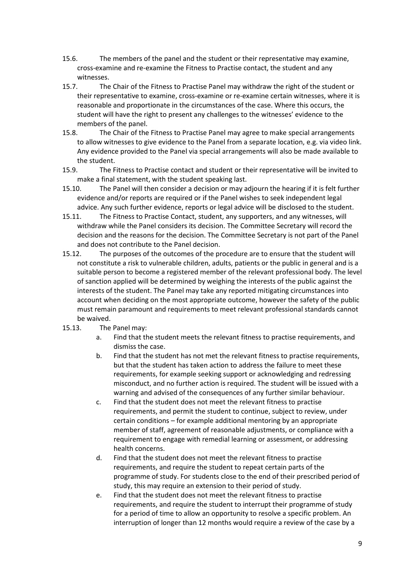- 15.6. The members of the panel and the student or their representative may examine, cross-examine and re-examine the Fitness to Practise contact, the student and any witnesses.
- 15.7. The Chair of the Fitness to Practise Panel may withdraw the right of the student or their representative to examine, cross-examine or re-examine certain witnesses, where it is reasonable and proportionate in the circumstances of the case. Where this occurs, the student will have the right to present any challenges to the witnesses' evidence to the members of the panel.
- 15.8. The Chair of the Fitness to Practise Panel may agree to make special arrangements to allow witnesses to give evidence to the Panel from a separate location, e.g. via video link. Any evidence provided to the Panel via special arrangements will also be made available to the student.
- 15.9. The Fitness to Practise contact and student or their representative will be invited to make a final statement, with the student speaking last.
- 15.10. The Panel will then consider a decision or may adjourn the hearing if it is felt further evidence and/or reports are required or if the Panel wishes to seek independent legal advice. Any such further evidence, reports or legal advice will be disclosed to the student.
- 15.11. The Fitness to Practise Contact, student, any supporters, and any witnesses, will withdraw while the Panel considers its decision. The Committee Secretary will record the decision and the reasons for the decision. The Committee Secretary is not part of the Panel and does not contribute to the Panel decision.
- 15.12. The purposes of the outcomes of the procedure are to ensure that the student will not constitute a risk to vulnerable children, adults, patients or the public in general and is a suitable person to become a registered member of the relevant professional body. The level of sanction applied will be determined by weighing the interests of the public against the interests of the student. The Panel may take any reported mitigating circumstances into account when deciding on the most appropriate outcome, however the safety of the public must remain paramount and requirements to meet relevant professional standards cannot be waived.
- 15.13. The Panel may:
	- a. Find that the student meets the relevant fitness to practise requirements, and dismiss the case.
	- b. Find that the student has not met the relevant fitness to practise requirements, but that the student has taken action to address the failure to meet these requirements, for example seeking support or acknowledging and redressing misconduct, and no further action is required. The student will be issued with a warning and advised of the consequences of any further similar behaviour.
	- c. Find that the student does not meet the relevant fitness to practise requirements, and permit the student to continue, subject to review, under certain conditions – for example additional mentoring by an appropriate member of staff, agreement of reasonable adjustments, or compliance with a requirement to engage with remedial learning or assessment, or addressing health concerns.
	- d. Find that the student does not meet the relevant fitness to practise requirements, and require the student to repeat certain parts of the programme of study. For students close to the end of their prescribed period of study, this may require an extension to their period of study.
	- e. Find that the student does not meet the relevant fitness to practise requirements, and require the student to interrupt their programme of study for a period of time to allow an opportunity to resolve a specific problem. An interruption of longer than 12 months would require a review of the case by a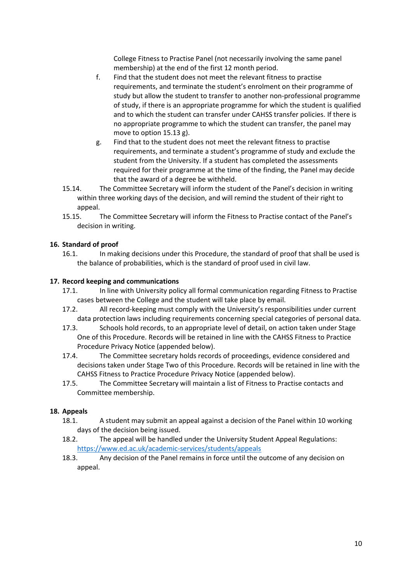College Fitness to Practise Panel (not necessarily involving the same panel membership) at the end of the first 12 month period.

- f. Find that the student does not meet the relevant fitness to practise requirements, and terminate the student's enrolment on their programme of study but allow the student to transfer to another non-professional programme of study, if there is an appropriate programme for which the student is qualified and to which the student can transfer under CAHSS transfer policies. If there is no appropriate programme to which the student can transfer, the panel may move to option 15.13 g).
- g. Find that to the student does not meet the relevant fitness to practise requirements, and terminate a student's programme of study and exclude the student from the University. If a student has completed the assessments required for their programme at the time of the finding, the Panel may decide that the award of a degree be withheld.
- 15.14. The Committee Secretary will inform the student of the Panel's decision in writing within three working days of the decision, and will remind the student of their right to appeal.
- 15.15. The Committee Secretary will inform the Fitness to Practise contact of the Panel's decision in writing.

## **16. Standard of proof**

16.1. In making decisions under this Procedure, the standard of proof that shall be used is the balance of probabilities, which is the standard of proof used in civil law.

#### **17. Record keeping and communications**

- 17.1. In line with University policy all formal communication regarding Fitness to Practise cases between the College and the student will take place by email.
- 17.2. All record-keeping must comply with the University's responsibilities under current data protection laws including requirements concerning special categories of personal data.
- 17.3. Schools hold records, to an appropriate level of detail, on action taken under Stage One of this Procedure. Records will be retained in line with the CAHSS Fitness to Practice Procedure Privacy Notice (appended below).
- 17.4. The Committee secretary holds records of proceedings, evidence considered and decisions taken under Stage Two of this Procedure. Records will be retained in line with the CAHSS Fitness to Practice Procedure Privacy Notice (appended below).
- 17.5. The Committee Secretary will maintain a list of Fitness to Practise contacts and Committee membership.

#### **18. Appeals**

- 18.1. A student may submit an appeal against a decision of the Panel within 10 working days of the decision being issued.
- 18.2. The appeal will be handled under the University Student Appeal Regulations: <https://www.ed.ac.uk/academic-services/students/appeals>
- 18.3. Any decision of the Panel remains in force until the outcome of any decision on appeal.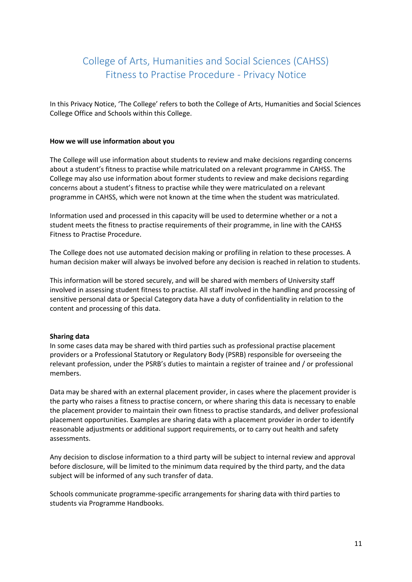# College of Arts, Humanities and Social Sciences (CAHSS) Fitness to Practise Procedure - Privacy Notice

In this Privacy Notice, 'The College' refers to both the College of Arts, Humanities and Social Sciences College Office and Schools within this College.

#### **How we will use information about you**

The College will use information about students to review and make decisions regarding concerns about a student's fitness to practise while matriculated on a relevant programme in CAHSS. The College may also use information about former students to review and make decisions regarding concerns about a student's fitness to practise while they were matriculated on a relevant programme in CAHSS, which were not known at the time when the student was matriculated.

Information used and processed in this capacity will be used to determine whether or a not a student meets the fitness to practise requirements of their programme, in line with the CAHSS Fitness to Practise Procedure.

The College does not use automated decision making or profiling in relation to these processes. A human decision maker will always be involved before any decision is reached in relation to students.

This information will be stored securely, and will be shared with members of University staff involved in assessing student fitness to practise. All staff involved in the handling and processing of sensitive personal data or Special Category data have a duty of confidentiality in relation to the content and processing of this data.

#### **Sharing data**

In some cases data may be shared with third parties such as professional practise placement providers or a Professional Statutory or Regulatory Body (PSRB) responsible for overseeing the relevant profession, under the PSRB's duties to maintain a register of trainee and / or professional members.

Data may be shared with an external placement provider, in cases where the placement provider is the party who raises a fitness to practise concern, or where sharing this data is necessary to enable the placement provider to maintain their own fitness to practise standards, and deliver professional placement opportunities. Examples are sharing data with a placement provider in order to identify reasonable adjustments or additional support requirements, or to carry out health and safety assessments.

Any decision to disclose information to a third party will be subject to internal review and approval before disclosure, will be limited to the minimum data required by the third party, and the data subject will be informed of any such transfer of data.

Schools communicate programme-specific arrangements for sharing data with third parties to students via Programme Handbooks.